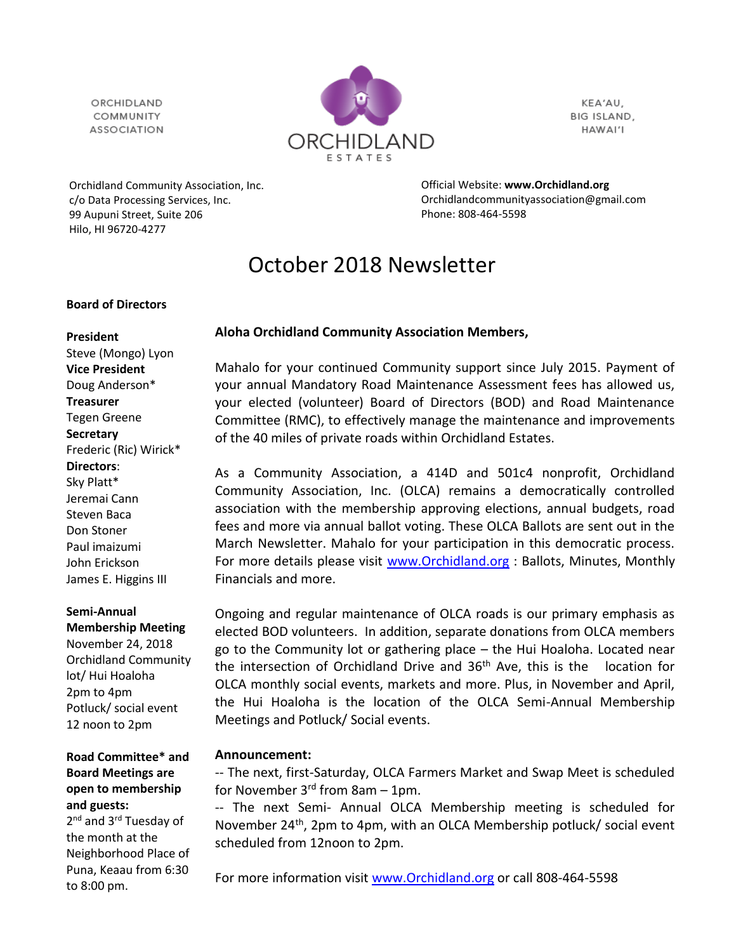ORCHIDLAND COMMUNITY **ASSOCIATION** 



KEA'AU, BIG ISLAND, HAWAI'I

Orchidland Community Association, Inc. c/o Data Processing Services, Inc. 99 Aupuni Street, Suite 206 Hilo, HI 96720-4277

Official Website: **[www.Orchidland.org](http://www.orchidland.org/)** Orchidlandcommunityassociation@gmail.com Phone: 808-464-5598

# October 2018 Newsletter

#### **Board of Directors**

#### **President**

Steve (Mongo) Lyon **Vice President** Doug Anderson\* **Treasurer** Tegen Greene **Secretary** Frederic (Ric) Wirick\* **Directors**: Sky Platt\* Jeremai Cann Steven Baca Don Stoner Paul imaizumi John Erickson James E. Higgins III

# **Semi-Annual**

**Membership Meeting** November 24, 2018 Orchidland Community lot/ Hui Hoaloha 2pm to 4pm Potluck/ social event 12 noon to 2pm

**Road Committee\* and Board Meetings are open to membership and guests:**

2<sup>nd</sup> and 3<sup>rd</sup> Tuesday of the month at the Neighborhood Place of Puna, Keaau from 6:30 to 8:00 pm.

# **Aloha Orchidland Community Association Members,**

Mahalo for your continued Community support since July 2015. Payment of your annual Mandatory Road Maintenance Assessment fees has allowed us, your elected (volunteer) Board of Directors (BOD) and Road Maintenance Committee (RMC), to effectively manage the maintenance and improvements of the 40 miles of private roads within Orchidland Estates.

As a Community Association, a 414D and 501c4 nonprofit, Orchidland Community Association, Inc. (OLCA) remains a democratically controlled association with the membership approving elections, annual budgets, road fees and more via annual ballot voting. These OLCA Ballots are sent out in the March Newsletter. Mahalo for your participation in this democratic process. For more details please visit www. Orchidland.org : Ballots, Minutes, Monthly Financials and more.

Ongoing and regular maintenance of OLCA roads is our primary emphasis as elected BOD volunteers. In addition, separate donations from OLCA members go to the Community lot or gathering place – the Hui Hoaloha. Located near the intersection of Orchidland Drive and 36th Ave, this is the location for OLCA monthly social events, markets and more. Plus, in November and April, the Hui Hoaloha is the location of the OLCA Semi-Annual Membership Meetings and Potluck/ Social events.

# **Announcement:**

-- The next, first-Saturday, OLCA Farmers Market and Swap Meet is scheduled for November  $3<sup>rd</sup>$  from 8am – 1pm.

-- The next Semi- Annual OLCA Membership meeting is scheduled for November 24<sup>th</sup>, 2pm to 4pm, with an OLCA Membership potluck/ social event scheduled from 12noon to 2pm.

For more information visit [www.Orchidland.org](http://www.orchidland.org/) or call 808-464-5598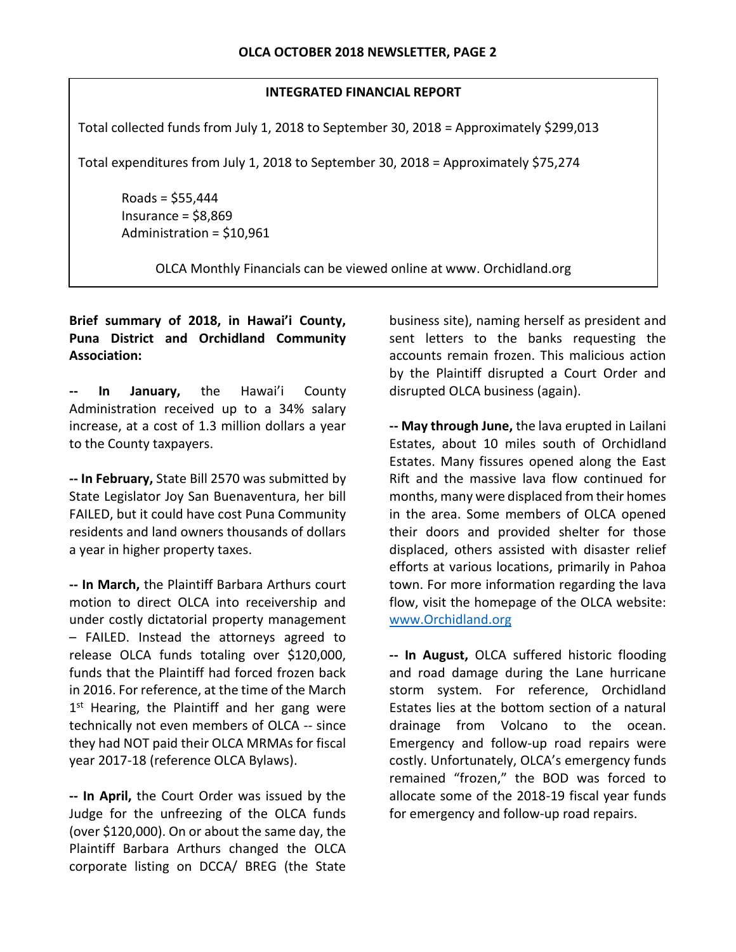#### **INTEGRATED FINANCIAL REPORT**

Total collected funds from July 1, 2018 to September 30, 2018 = Approximately \$299,013

Total expenditures from July 1, 2018 to September 30, 2018 = Approximately \$75,274

Roads = \$55,444 Insurance = \$8,869 Administration = \$10,961

OLCA Monthly Financials can be viewed online at www. Orchidland.org

# **Brief summary of 2018, in Hawai'i County, Puna District and Orchidland Community Association:**

**-- In January,** the Hawai'i County Administration received up to a 34% salary increase, at a cost of 1.3 million dollars a year to the County taxpayers.

**-- In February,** State Bill 2570 was submitted by State Legislator Joy San Buenaventura, her bill FAILED, but it could have cost Puna Community residents and land owners thousands of dollars a year in higher property taxes.

**-- In March,** the Plaintiff Barbara Arthurs court motion to direct OLCA into receivership and under costly dictatorial property management – FAILED. Instead the attorneys agreed to release OLCA funds totaling over \$120,000, funds that the Plaintiff had forced frozen back in 2016. For reference, at the time of the March 1<sup>st</sup> Hearing, the Plaintiff and her gang were technically not even members of OLCA -- since they had NOT paid their OLCA MRMAs for fiscal year 2017-18 (reference OLCA Bylaws).

**-- In April,** the Court Order was issued by the Judge for the unfreezing of the OLCA funds (over \$120,000). On or about the same day, the Plaintiff Barbara Arthurs changed the OLCA corporate listing on DCCA/ BREG (the State

business site), naming herself as president and sent letters to the banks requesting the accounts remain frozen. This malicious action by the Plaintiff disrupted a Court Order and disrupted OLCA business (again).

**-- May through June,** the lava erupted in Lailani Estates, about 10 miles south of Orchidland Estates. Many fissures opened along the East Rift and the massive lava flow continued for months, many were displaced from their homes in the area. Some members of OLCA opened their doors and provided shelter for those displaced, others assisted with disaster relief efforts at various locations, primarily in Pahoa town. For more information regarding the lava flow, visit the homepage of the OLCA website: [www.Orchidland.org](http://www.orchidland.org/)

**-- In August,** OLCA suffered historic flooding and road damage during the Lane hurricane storm system. For reference, Orchidland Estates lies at the bottom section of a natural drainage from Volcano to the ocean. Emergency and follow-up road repairs were costly. Unfortunately, OLCA's emergency funds remained "frozen," the BOD was forced to allocate some of the 2018-19 fiscal year funds for emergency and follow-up road repairs.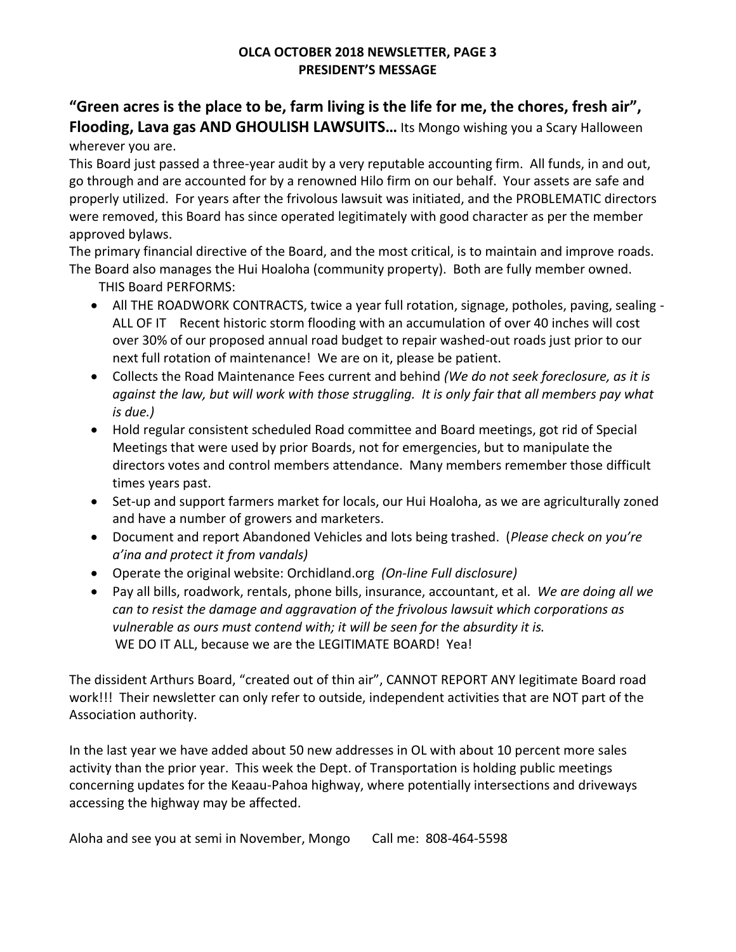# **OLCA OCTOBER 2018 NEWSLETTER, PAGE 3 PRESIDENT'S MESSAGE**

# **"Green acres is the place to be, farm living is the life for me, the chores, fresh air", Flooding, Lava gas AND GHOULISH LAWSUITS…** Its Mongo wishing you a Scary Halloween wherever you are.

This Board just passed a three-year audit by a very reputable accounting firm. All funds, in and out, go through and are accounted for by a renowned Hilo firm on our behalf. Your assets are safe and properly utilized. For years after the frivolous lawsuit was initiated, and the PROBLEMATIC directors were removed, this Board has since operated legitimately with good character as per the member approved bylaws.

The primary financial directive of the Board, and the most critical, is to maintain and improve roads. The Board also manages the Hui Hoaloha (community property). Both are fully member owned.

THIS Board PERFORMS:

- All THE ROADWORK CONTRACTS, twice a year full rotation, signage, potholes, paving, sealing ALL OF IT Recent historic storm flooding with an accumulation of over 40 inches will cost over 30% of our proposed annual road budget to repair washed-out roads just prior to our next full rotation of maintenance! We are on it, please be patient.
- Collects the Road Maintenance Fees current and behind *(We do not seek foreclosure, as it is against the law, but will work with those struggling. It is only fair that all members pay what is due.)*
- Hold regular consistent scheduled Road committee and Board meetings, got rid of Special Meetings that were used by prior Boards, not for emergencies, but to manipulate the directors votes and control members attendance. Many members remember those difficult times years past.
- Set-up and support farmers market for locals, our Hui Hoaloha, as we are agriculturally zoned and have a number of growers and marketers.
- Document and report Abandoned Vehicles and lots being trashed. (*Please check on you're a'ina and protect it from vandals)*
- Operate the original website: Orchidland.org *(On-line Full disclosure)*
- Pay all bills, roadwork, rentals, phone bills, insurance, accountant, et al. *We are doing all we can to resist the damage and aggravation of the frivolous lawsuit which corporations as vulnerable as ours must contend with; it will be seen for the absurdity it is.* WE DO IT ALL, because we are the LEGITIMATE BOARD! Yea!

The dissident Arthurs Board, "created out of thin air", CANNOT REPORT ANY legitimate Board road work!!! Their newsletter can only refer to outside, independent activities that are NOT part of the Association authority.

In the last year we have added about 50 new addresses in OL with about 10 percent more sales activity than the prior year. This week the Dept. of Transportation is holding public meetings concerning updates for the Keaau-Pahoa highway, where potentially intersections and driveways accessing the highway may be affected.

Aloha and see you at semi in November, Mongo Call me: 808-464-5598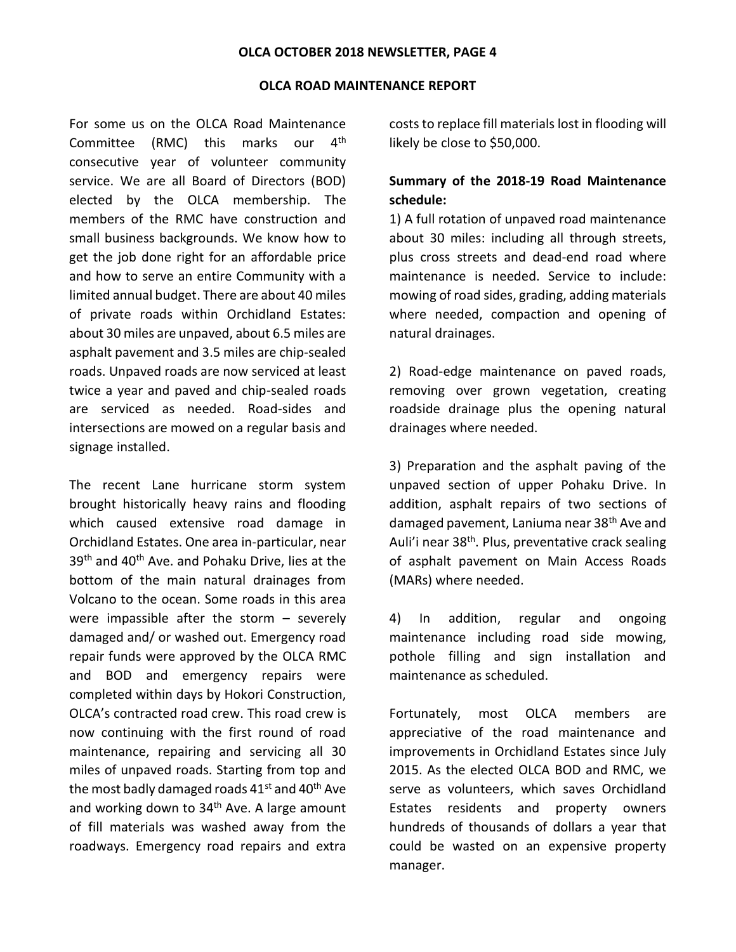#### **OLCA OCTOBER 2018 NEWSLETTER, PAGE 4**

#### **OLCA ROAD MAINTENANCE REPORT**

For some us on the OLCA Road Maintenance Committee (RMC) this marks our 4th consecutive year of volunteer community service. We are all Board of Directors (BOD) elected by the OLCA membership. The members of the RMC have construction and small business backgrounds. We know how to get the job done right for an affordable price and how to serve an entire Community with a limited annual budget. There are about 40 miles of private roads within Orchidland Estates: about 30 miles are unpaved, about 6.5 miles are asphalt pavement and 3.5 miles are chip-sealed roads. Unpaved roads are now serviced at least twice a year and paved and chip-sealed roads are serviced as needed. Road-sides and intersections are mowed on a regular basis and signage installed.

The recent Lane hurricane storm system brought historically heavy rains and flooding which caused extensive road damage in Orchidland Estates. One area in-particular, near 39<sup>th</sup> and 40<sup>th</sup> Ave. and Pohaku Drive, lies at the bottom of the main natural drainages from Volcano to the ocean. Some roads in this area were impassible after the storm – severely damaged and/ or washed out. Emergency road repair funds were approved by the OLCA RMC and BOD and emergency repairs were completed within days by Hokori Construction, OLCA's contracted road crew. This road crew is now continuing with the first round of road maintenance, repairing and servicing all 30 miles of unpaved roads. Starting from top and the most badly damaged roads  $41<sup>st</sup>$  and  $40<sup>th</sup>$  Ave and working down to 34<sup>th</sup> Ave. A large amount of fill materials was washed away from the roadways. Emergency road repairs and extra costs to replace fill materials lost in flooding will likely be close to \$50,000.

# **Summary of the 2018-19 Road Maintenance schedule:**

1) A full rotation of unpaved road maintenance about 30 miles: including all through streets, plus cross streets and dead-end road where maintenance is needed. Service to include: mowing of road sides, grading, adding materials where needed, compaction and opening of natural drainages.

2) Road-edge maintenance on paved roads, removing over grown vegetation, creating roadside drainage plus the opening natural drainages where needed.

3) Preparation and the asphalt paving of the unpaved section of upper Pohaku Drive. In addition, asphalt repairs of two sections of damaged pavement, Laniuma near 38th Ave and Auli'i near 38<sup>th</sup>. Plus, preventative crack sealing of asphalt pavement on Main Access Roads (MARs) where needed.

4) In addition, regular and ongoing maintenance including road side mowing, pothole filling and sign installation and maintenance as scheduled.

Fortunately, most OLCA members are appreciative of the road maintenance and improvements in Orchidland Estates since July 2015. As the elected OLCA BOD and RMC, we serve as volunteers, which saves Orchidland Estates residents and property owners hundreds of thousands of dollars a year that could be wasted on an expensive property manager.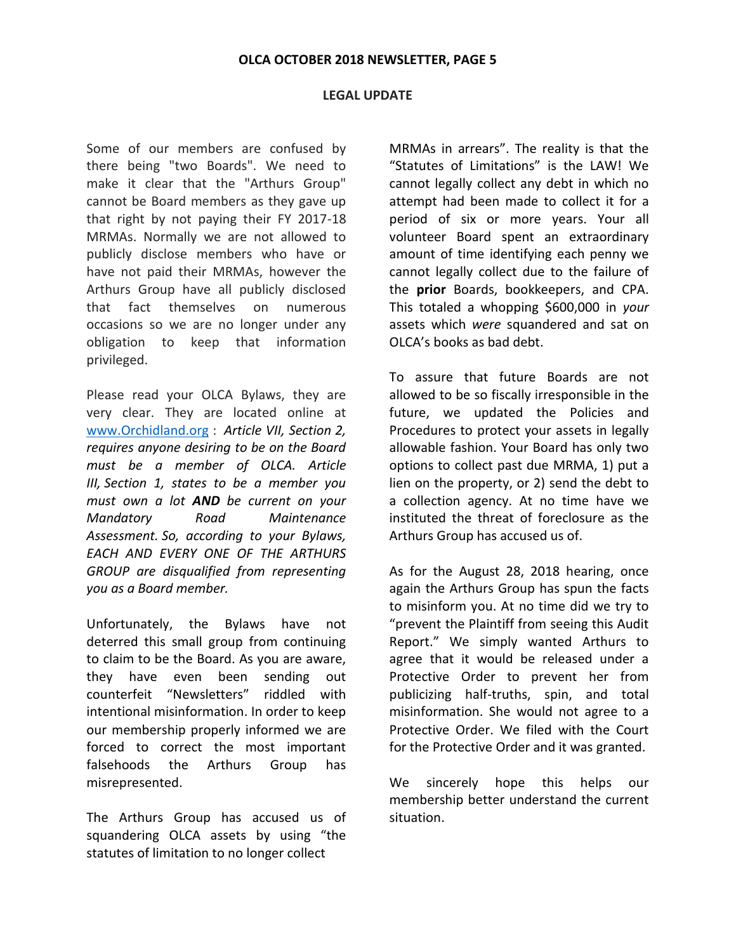#### **OLCA OCTOBER 2018 NEWSLETTER, PAGE 5**

#### **LEGAL UPDATE**

Some of our members are confused by there being "two Boards". We need to make it clear that the "Arthurs Group" cannot be Board members as they gave up that right by not paying their FY 2017-18 MRMAs. Normally we are not allowed to publicly disclose members who have or have not paid their MRMAs, however the Arthurs Group have all publicly disclosed that fact themselves on numerous occasions so we are no longer under any obligation to keep that information privileged.

Please read your OLCA Bylaws, they are very clear. They are located online at [www.Orchidland.org](http://www.orchidland.org/) : *Article VII, Section 2, requires anyone desiring to be on the Board must be a member of OLCA. Article III, Section 1, states to be a member you must own a lot AND be current on your Mandatory Road Maintenance Assessment. So, according to your Bylaws, EACH AND EVERY ONE OF THE ARTHURS GROUP are disqualified from representing you as a Board member.*

Unfortunately, the Bylaws have not deterred this small group from continuing to claim to be the Board. As you are aware, they have even been sending out counterfeit "Newsletters" riddled with intentional misinformation. In order to keep our membership properly informed we are forced to correct the most important falsehoods the Arthurs Group has misrepresented.

The Arthurs Group has accused us of squandering OLCA assets by using "the statutes of limitation to no longer collect

MRMAs in arrears". The reality is that the "Statutes of Limitations" is the LAW! We cannot legally collect any debt in which no attempt had been made to collect it for a period of six or more years. Your all volunteer Board spent an extraordinary amount of time identifying each penny we cannot legally collect due to the failure of the **prior** Boards, bookkeepers, and CPA. This totaled a whopping \$600,000 in *your* assets which *were* squandered and sat on OLCA's books as bad debt.

To assure that future Boards are not allowed to be so fiscally irresponsible in the future, we updated the Policies and Procedures to protect your assets in legally allowable fashion. Your Board has only two options to collect past due MRMA, 1) put a lien on the property, or 2) send the debt to a collection agency. At no time have we instituted the threat of foreclosure as the Arthurs Group has accused us of.

As for the August 28, 2018 hearing, once again the Arthurs Group has spun the facts to misinform you. At no time did we try to "prevent the Plaintiff from seeing this Audit Report." We simply wanted Arthurs to agree that it would be released under a Protective Order to prevent her from publicizing half-truths, spin, and total misinformation. She would not agree to a Protective Order. We filed with the Court for the Protective Order and it was granted.

We sincerely hope this helps our membership better understand the current situation.